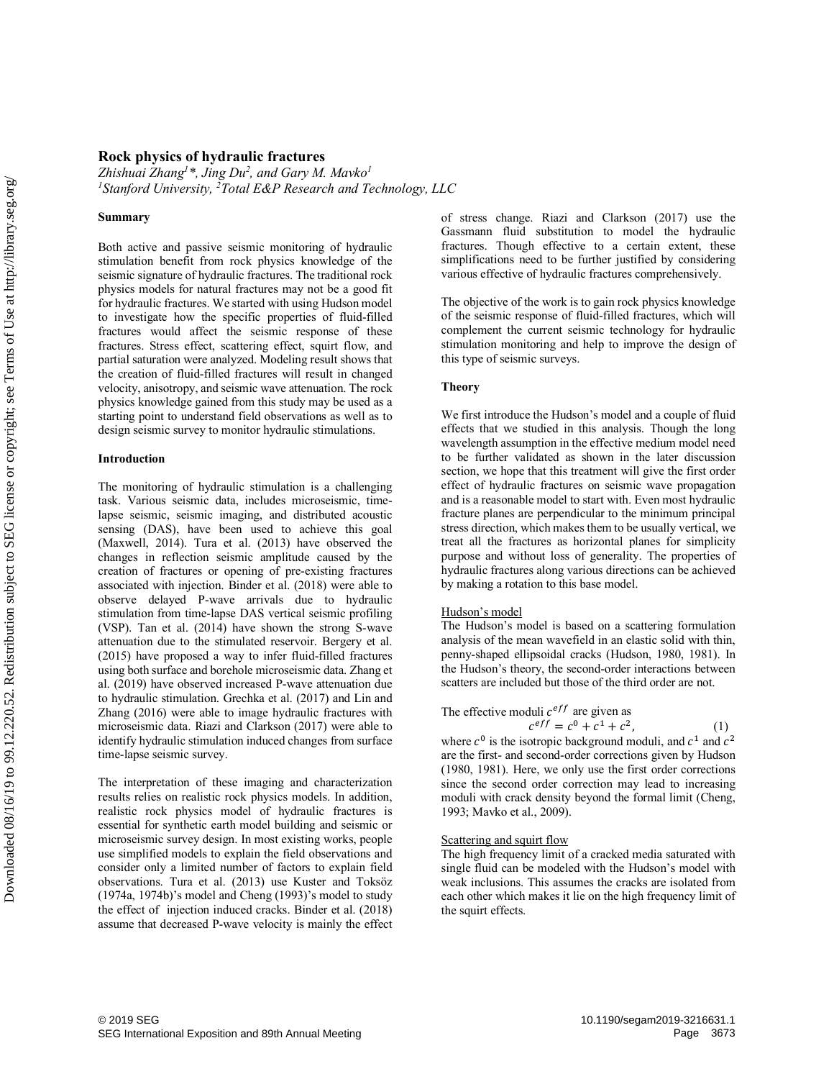# **Rock physics of hydraulic fractures**

*Zhishuai Zhang1 \*, Jing Du2 , and Gary M. Mavko1* <sup>1</sup>Stanford University, <sup>2</sup>Total E&P Research and Technology, LLC

#### **Summary**

Both active and passive seismic monitoring of hydraulic stimulation benefit from rock physics knowledge of the seismic signature of hydraulic fractures. The traditional rock physics models for natural fractures may not be a good fit for hydraulic fractures. We started with using Hudson model to investigate how the specific properties of fluid-filled fractures would affect the seismic response of these fractures. Stress effect, scattering effect, squirt flow, and partial saturation were analyzed. Modeling result shows that the creation of fluid-filled fractures will result in changed velocity, anisotropy, and seismic wave attenuation. The rock physics knowledge gained from this study may be used as a starting point to understand field observations as well as to design seismic survey to monitor hydraulic stimulations.

#### **Introduction**

The monitoring of hydraulic stimulation is a challenging task. Various seismic data, includes microseismic, timelapse seismic, seismic imaging, and distributed acoustic sensing (DAS), have been used to achieve this goal (Maxwell, 2014). Tura et al. (2013) have observed the changes in reflection seismic amplitude caused by the creation of fractures or opening of pre-existing fractures associated with injection. Binder et al. (2018) were able to observe delayed P-wave arrivals due to hydraulic stimulation from time-lapse DAS vertical seismic profiling (VSP). Tan et al. (2014) have shown the strong S-wave attenuation due to the stimulated reservoir. Bergery et al. (2015) have proposed a way to infer fluid-filled fractures using both surface and borehole microseismic data. Zhang et al. (2019) have observed increased P-wave attenuation due to hydraulic stimulation. Grechka et al. (2017) and Lin and Zhang (2016) were able to image hydraulic fractures with microseismic data. Riazi and Clarkson (2017) were able to identify hydraulic stimulation induced changes from surface time-lapse seismic survey. SEG IS Starford Universation, Triotal Exercises and Summary<br>
Summary<br>
Both active and passive seismic monitoring of hydrodical fractures The radiomorphism is giant and the monitoring Download Exposition subject to stribut

The interpretation of these imaging and characterization results relies on realistic rock physics models. In addition, realistic rock physics model of hydraulic fractures is essential for synthetic earth model building and seismic or microseismic survey design. In most existing works, people use simplified models to explain the field observations and consider only a limited number of factors to explain field observations. Tura et al. (2013) use Kuster and Toksöz (1974a, 1974b)'s model and Cheng (1993)'s model to study the effect of injection induced cracks. Binder et al. (2018) assume that decreased P-wave velocity is mainly the effect of stress change. Riazi and Clarkson (2017) use the Gassmann fluid substitution to model the hydraulic fractures. Though effective to a certain extent, these simplifications need to be further justified by considering various effective of hydraulic fractures comprehensively.

The objective of the work is to gain rock physics knowledge of the seismic response of fluid-filled fractures, which will complement the current seismic technology for hydraulic stimulation monitoring and help to improve the design of this type of seismic surveys.

# **Theory**

We first introduce the Hudson's model and a couple of fluid effects that we studied in this analysis. Though the long wavelength assumption in the effective medium model need to be further validated as shown in the later discussion section, we hope that this treatment will give the first order effect of hydraulic fractures on seismic wave propagation and is a reasonable model to start with. Even most hydraulic fracture planes are perpendicular to the minimum principal stress direction, which makes them to be usually vertical, we treat all the fractures as horizontal planes for simplicity purpose and without loss of generality. The properties of hydraulic fractures along various directions can be achieved by making a rotation to this base model.

#### Hudson's model

The Hudson's model is based on a scattering formulation analysis of the mean wavefield in an elastic solid with thin, penny-shaped ellipsoidal cracks (Hudson, 1980, 1981). In the Hudson's theory, the second-order interactions between scatters are included but those of the third order are not.

# The effective moduli  $c^{eff}$  are given as  $c^{eff} = c^0 + c^1 + c^2$

$$
\tag{1}
$$

where  $c^0$  is the isotropic background moduli, and  $c^1$  and  $c^2$ are the first- and second-order corrections given by Hudson (1980, 1981). Here, we only use the first order corrections since the second order correction may lead to increasing moduli with crack density beyond the formal limit (Cheng, 1993; Mavko et al., 2009).

## Scattering and squirt flow

The high frequency limit of a cracked media saturated with single fluid can be modeled with the Hudson's model with weak inclusions. This assumes the cracks are isolated from each other which makes it lie on the high frequency limit of the squirt effects.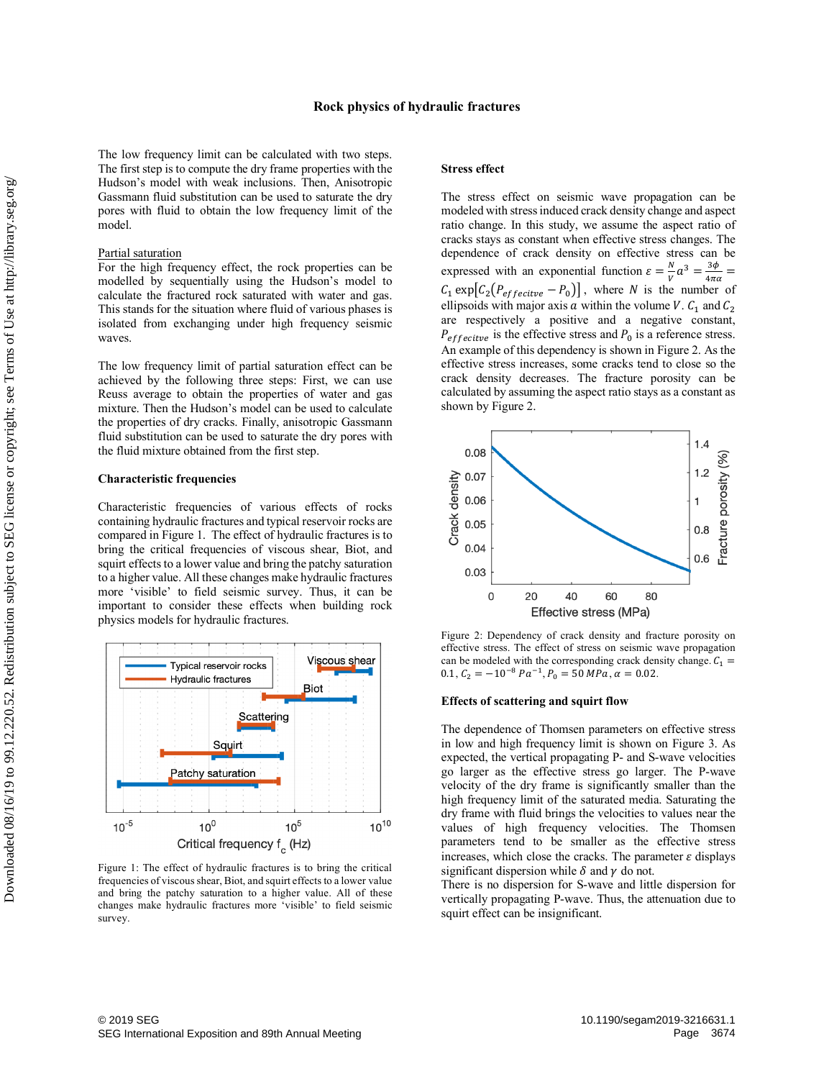## **Rock physics of hydraulic fractures**

The low frequency limit can be calculated with two steps. The first step is to compute the dry frame properties with the Hudson's model with weak inclusions. Then, Anisotropic Gassmann fluid substitution can be used to saturate the dry pores with fluid to obtain the low frequency limit of the model.

## Partial saturation

For the high frequency effect, the rock properties can be modelled by sequentially using the Hudson's model to calculate the fractured rock saturated with water and gas. This stands for the situation where fluid of various phases is isolated from exchanging under high frequency seismic waves.

The low frequency limit of partial saturation effect can be achieved by the following three steps: First, we can use Reuss average to obtain the properties of water and gas mixture. Then the Hudson's model can be used to calculate the properties of dry cracks. Finally, anisotropic Gassmann fluid substitution can be used to saturate the dry pores with the fluid mixture obtained from the first step.

### **Characteristic frequencies**

Characteristic frequencies of various effects of rocks containing hydraulic fractures and typical reservoir rocks are compared in Figure 1. The effect of hydraulic fractures is to bring the critical frequencies of viscous shear, Biot, and squirt effects to a lower value and bring the patchy saturation to a higher value. All these changes make hydraulic fractures more 'visible' to field seismic survey. Thus, it can be important to consider these effects when building rock physics models for hydraulic fractures.



Figure 1: The effect of hydraulic fractures is to bring the critical frequencies of viscous shear, Biot, and squirt effects to a lower value and bring the patchy saturation to a higher value. All of these changes make hydraulic fractures more 'visible' to field seismic survey.

#### **Stress effect**

The stress effect on seismic wave propagation can be modeled with stress induced crack density change and aspect ratio change. In this study, we assume the aspect ratio of cracks stays as constant when effective stress changes. The dependence of crack density on effective stress can be expressed with an exponential function  $\varepsilon = \frac{N}{V} a^3 = \frac{3\phi}{4\pi\alpha}$  $C_1 \exp\left[C_2 \left(P_{effective} - P_0\right)\right]$ , where N is the number of ellipsoids with major axis a within the volume V.  $C_1$  and  $C_2$ are respectively a positive and a negative constant,  $P_{effective}$  is the effective stress and  $P_0$  is a reference stress. An example of this dependency is shown in Figure 2. As the effective stress increases, some cracks tend to close so the crack density decreases. The fracture porosity can be calculated by assuming the aspect ratio stays as a constant as shown by Figure 2.



Figure 2: Dependency of crack density and fracture porosity on effective stress. The effect of stress on seismic wave propagation can be modeled with the corresponding crack density change.  $C_1$  = 0.1,  $C_2 = -10^{-8} Pa^{-1}$ ,  $P_0 = 50 MPa$ ,  $\alpha = 0.02$ .

## **Effects of scattering and squirt flow**

The dependence of Thomsen parameters on effective stress in low and high frequency limit is shown on Figure 3. As expected, the vertical propagating P- and S-wave velocities go larger as the effective stress go larger. The P-wave velocity of the dry frame is significantly smaller than the high frequency limit of the saturated media. Saturating the dry frame with fluid brings the velocities to values near the values of high frequency velocities. The Thomsen parameters tend to be smaller as the effective stress increases, which close the cracks. The parameter  $\varepsilon$  displays significant dispersion while  $\delta$  and  $\gamma$  do not.

There is no dispersion for S-wave and little dispersion for vertically propagating P-wave. Thus, the attenuation due to squirt effect can be insignificant.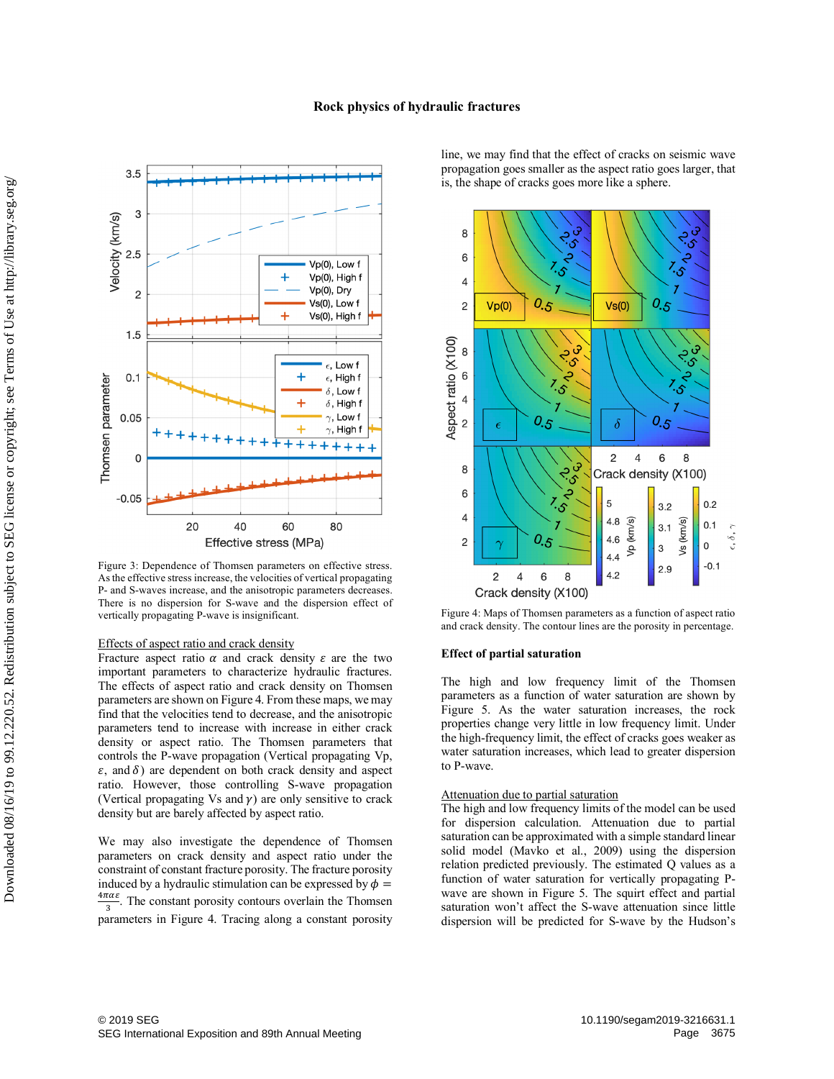

Figure 3: Dependence of Thomsen parameters on effective stress. As the effective stress increase, the velocities of vertical propagating P- and S-waves increase, and the anisotropic parameters decreases. There is no dispersion for S-wave and the dispersion effect of vertically propagating P-wave is insignificant.

### Effects of aspect ratio and crack density

Fracture aspect ratio  $\alpha$  and crack density  $\varepsilon$  are the two important parameters to characterize hydraulic fractures. The effects of aspect ratio and crack density on Thomsen parameters are shown on Figure 4. From these maps, we may find that the velocities tend to decrease, and the anisotropic parameters tend to increase with increase in either crack density or aspect ratio. The Thomsen parameters that controls the P-wave propagation (Vertical propagating Vp,  $\varepsilon$ , and  $\delta$ ) are dependent on both crack density and aspect ratio. However, those controlling S-wave propagation (Vertical propagating Vs and  $\gamma$ ) are only sensitive to crack density but are barely affected by aspect ratio.

We may also investigate the dependence of Thomsen parameters on crack density and aspect ratio under the constraint of constant fracture porosity. The fracture porosity induced by a hydraulic stimulation can be expressed by  $\phi =$  $\frac{4\pi\alpha\varepsilon}{3}$ . The constant porosity contours overlain the Thomsen parameters in Figure 4. Tracing along a constant porosity

line, we may find that the effect of cracks on seismic wave propagation goes smaller as the aspect ratio goes larger, that is, the shape of cracks goes more like a sphere.



Figure 4: Maps of Thomsen parameters as a function of aspect ratio and crack density. The contour lines are the porosity in percentage.

#### **Effect of partial saturation**

The high and low frequency limit of the Thomsen parameters as a function of water saturation are shown by Figure 5. As the water saturation increases, the rock properties change very little in low frequency limit. Under the high-frequency limit, the effect of cracks goes weaker as water saturation increases, which lead to greater dispersion to P-wave.

## Attenuation due to partial saturation

The high and low frequency limits of the model can be used for dispersion calculation. Attenuation due to partial saturation can be approximated with a simple standard linear solid model (Mavko et al., 2009) using the dispersion relation predicted previously. The estimated Q values as a function of water saturation for vertically propagating Pwave are shown in Figure 5. The squirt effect and partial saturation won't affect the S-wave attenuation since little dispersion will be predicted for S-wave by the Hudson's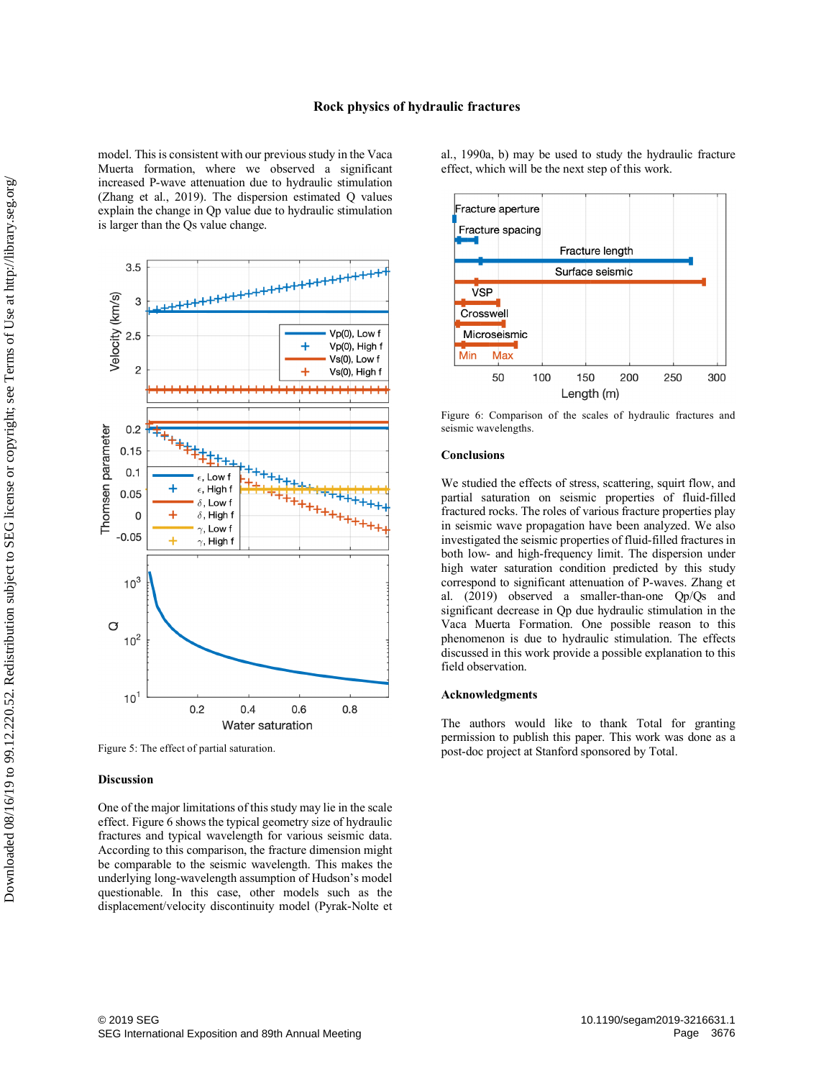model. This is consistent with our previous study in the Vaca Muerta formation, where we observed a significant increased P-wave attenuation due to hydraulic stimulation (Zhang et al., 2019). The dispersion estimated Q values explain the change in Qp value due to hydraulic stimulation is larger than the Qs value change.



Figure 5: The effect of partial saturation.

#### **Discussion**

One of the major limitations of this study may lie in the scale effect. Figure 6 shows the typical geometry size of hydraulic fractures and typical wavelength for various seismic data. According to this comparison, the fracture dimension might be comparable to the seismic wavelength. This makes the underlying long-wavelength assumption of Hudson's model questionable. In this case, other models such as the displacement/velocity discontinuity model (Pyrak-Nolte et al., 1990a, b) may be used to study the hydraulic fracture effect, which will be the next step of this work.



Figure 6: Comparison of the scales of hydraulic fractures and seismic wavelengths.

## **Conclusions**

We studied the effects of stress, scattering, squirt flow, and partial saturation on seismic properties of fluid-filled fractured rocks. The roles of various fracture properties play in seismic wave propagation have been analyzed. We also investigated the seismic properties of fluid-filled fractures in both low- and high-frequency limit. The dispersion under high water saturation condition predicted by this study correspond to significant attenuation of P-waves. Zhang et al. (2019) observed a smaller-than-one Qp/Qs and significant decrease in Qp due hydraulic stimulation in the Vaca Muerta Formation. One possible reason to this phenomenon is due to hydraulic stimulation. The effects discussed in this work provide a possible explanation to this field observation.

### **Acknowledgments**

The authors would like to thank Total for granting permission to publish this paper. This work was done as a post-doc project at Stanford sponsored by Total.